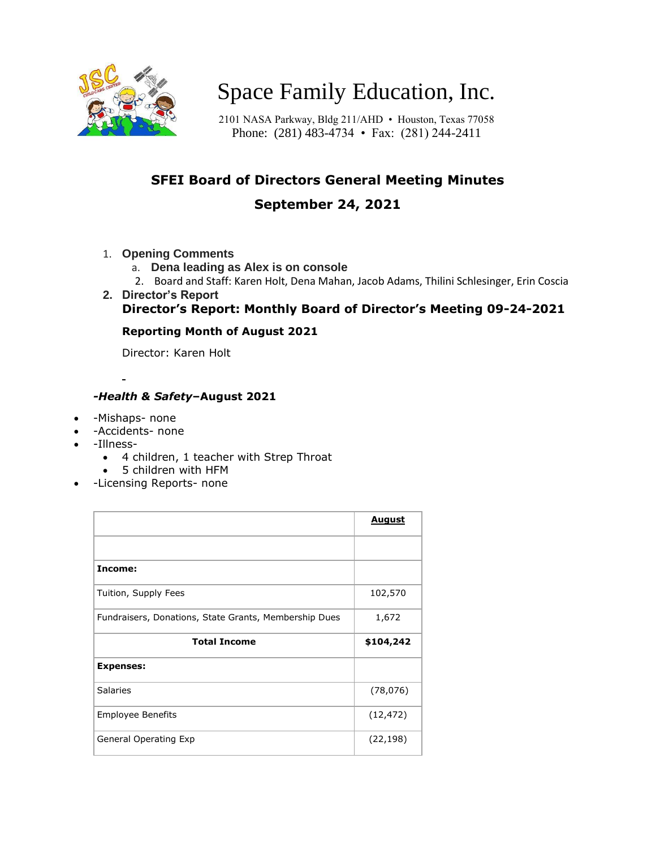

# Space Family Education, Inc.

2101 NASA Parkway, Bldg 211/AHD • Houston, Texas 77058 Phone: (281) 483-4734 • Fax: (281) 244-2411

# **SFEI Board of Directors General Meeting Minutes**

## **September 24, 2021**

- 1. **Opening Comments**
	- a. **Dena leading as Alex is on console**
	- 2. Board and Staff: Karen Holt, Dena Mahan, Jacob Adams, Thilini Schlesinger, Erin Coscia
- **2. Director's Report Director's Report: Monthly Board of Director's Meeting 09-24-2021**

#### **Reporting Month of August 2021**

Director: Karen Holt

#### *-Health & Safety***–August 2021**

- -Mishaps- none
- -Accidents- none
- -Illness-
	- 4 children, 1 teacher with Strep Throat
	- 5 children with HFM
	- -Licensing Reports- none

|                                                       | <b>August</b> |
|-------------------------------------------------------|---------------|
|                                                       |               |
| Income:                                               |               |
| Tuition, Supply Fees                                  | 102,570       |
| Fundraisers, Donations, State Grants, Membership Dues | 1,672         |
| <b>Total Income</b>                                   | \$104,242     |
| <b>Expenses:</b>                                      |               |
| <b>Salaries</b>                                       | (78, 076)     |
| <b>Employee Benefits</b>                              | (12, 472)     |
| General Operating Exp                                 | (22, 198)     |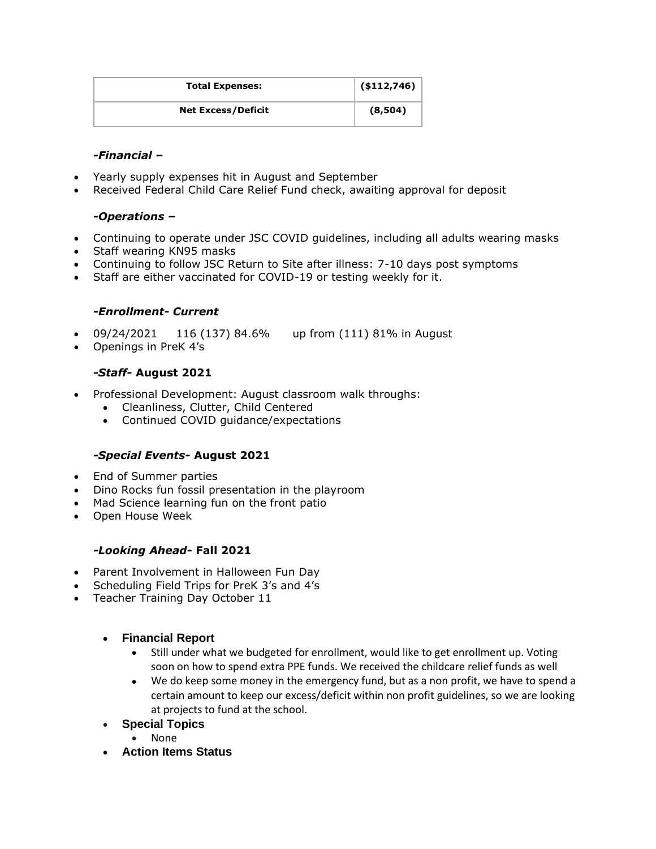| <b>Total Expenses:</b>    | (\$112,746) |
|---------------------------|-------------|
| <b>Net Excess/Deficit</b> | (8,504)     |

#### *-Financial* **–**

- Yearly supply expenses hit in August and September
- Received Federal Child Care Relief Fund check, awaiting approval for deposit

#### *-Operations* **–**

- Continuing to operate under JSC COVID guidelines, including all adults wearing masks
- Staff wearing KN95 masks
- Continuing to follow JSC Return to Site after illness: 7-10 days post symptoms
- Staff are either vaccinated for COVID-19 or testing weekly for it.

#### *-Enrollment- Current*

- 09/24/2021 116 (137) 84.6% up from (111) 81% in August
- Openings in PreK 4's

#### *-Staff-* **August 2021**

- Professional Development: August classroom walk throughs:
	- Cleanliness, Clutter, Child Centered
	- Continued COVID guidance/expectations

#### *-Special Events-* **August 2021**

- End of Summer parties
- Dino Rocks fun fossil presentation in the playroom
- Mad Science learning fun on the front patio
- Open House Week

#### *-Looking Ahead-* **Fall 2021**

- Parent Involvement in Halloween Fun Day
- Scheduling Field Trips for PreK 3's and 4's
- Teacher Training Day October 11

#### • **Financial Report**

- Still under what we budgeted for enrollment, would like to get enrollment up. Voting soon on how to spend extra PPE funds. We received the childcare relief funds as well
- We do keep some money in the emergency fund, but as a non profit, we have to spend a certain amount to keep our excess/deficit within non profit guidelines, so we are looking at projects to fund at the school.
- **Special Topics**
	- None
- **Action Items Status**